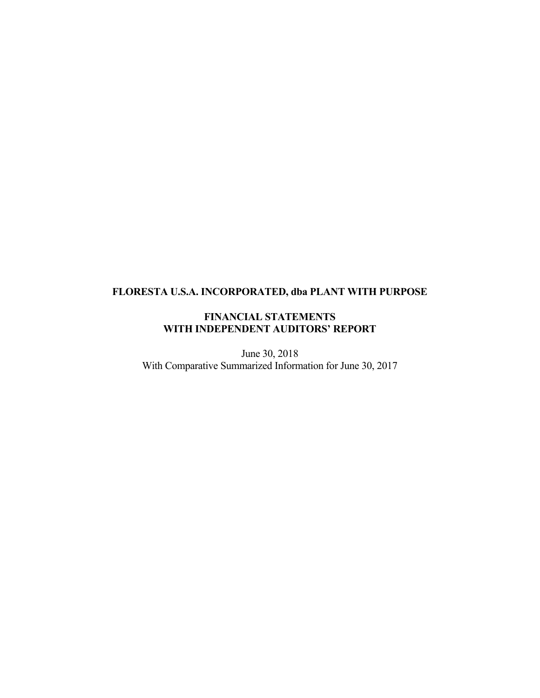# **FLORESTA U.S.A. INCORPORATED, dba PLANT WITH PURPOSE**

## **FINANCIAL STATEMENTS WITH INDEPENDENT AUDITORS' REPORT**

June 30, 2018 With Comparative Summarized Information for June 30, 2017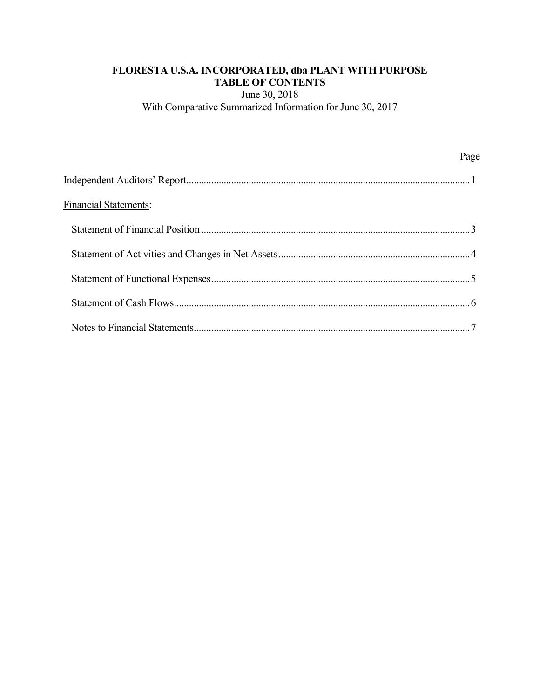## **FLORESTA U.S.A. INCORPORATED, dba PLANT WITH PURPOSE TABLE OF CONTENTS**

June 30, 2018

With Comparative Summarized Information for June 30, 2017

|                              | Page |
|------------------------------|------|
|                              |      |
| <b>Financial Statements:</b> |      |
|                              |      |
|                              |      |
|                              |      |
|                              |      |
|                              |      |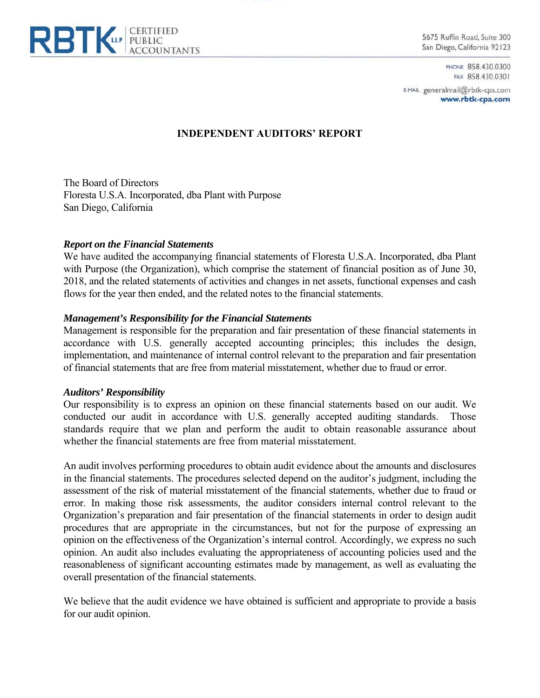

5675 Ruffin Road, Suite 300 San Diego, California 92123

> PHONE 858.430.0300 FAX 858,430.0301

E-MAIL generalmail@rbtk-cpa.com www.rbtk-cpa.com

## **INDEPENDENT AUDITORS' REPORT**

The Board of Directors Floresta U.S.A. Incorporated, dba Plant with Purpose San Diego, California

## *Report on the Financial Statements*

We have audited the accompanying financial statements of Floresta U.S.A. Incorporated, dba Plant with Purpose (the Organization), which comprise the statement of financial position as of June 30, 2018, and the related statements of activities and changes in net assets, functional expenses and cash flows for the year then ended, and the related notes to the financial statements.

## *Management's Responsibility for the Financial Statements*

Management is responsible for the preparation and fair presentation of these financial statements in accordance with U.S. generally accepted accounting principles; this includes the design, implementation, and maintenance of internal control relevant to the preparation and fair presentation of financial statements that are free from material misstatement, whether due to fraud or error.

#### *Auditors' Responsibility*

Our responsibility is to express an opinion on these financial statements based on our audit. We conducted our audit in accordance with U.S. generally accepted auditing standards. Those standards require that we plan and perform the audit to obtain reasonable assurance about whether the financial statements are free from material misstatement.

An audit involves performing procedures to obtain audit evidence about the amounts and disclosures in the financial statements. The procedures selected depend on the auditor's judgment, including the assessment of the risk of material misstatement of the financial statements, whether due to fraud or error. In making those risk assessments, the auditor considers internal control relevant to the Organization's preparation and fair presentation of the financial statements in order to design audit procedures that are appropriate in the circumstances, but not for the purpose of expressing an opinion on the effectiveness of the Organization's internal control. Accordingly, we express no such opinion. An audit also includes evaluating the appropriateness of accounting policies used and the reasonableness of significant accounting estimates made by management, as well as evaluating the overall presentation of the financial statements.

We believe that the audit evidence we have obtained is sufficient and appropriate to provide a basis for our audit opinion.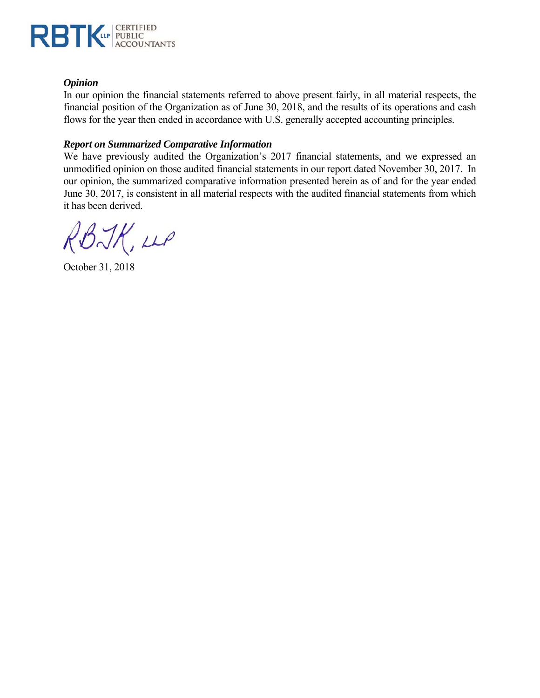

## *Opinion*

In our opinion the financial statements referred to above present fairly, in all material respects, the financial position of the Organization as of June 30, 2018, and the results of its operations and cash flows for the year then ended in accordance with U.S. generally accepted accounting principles.

## *Report on Summarized Comparative Information*

We have previously audited the Organization's 2017 financial statements, and we expressed an unmodified opinion on those audited financial statements in our report dated November 30, 2017. In our opinion, the summarized comparative information presented herein as of and for the year ended June 30, 2017, is consistent in all material respects with the audited financial statements from which it has been derived.

RBJK, LLP

October 31, 2018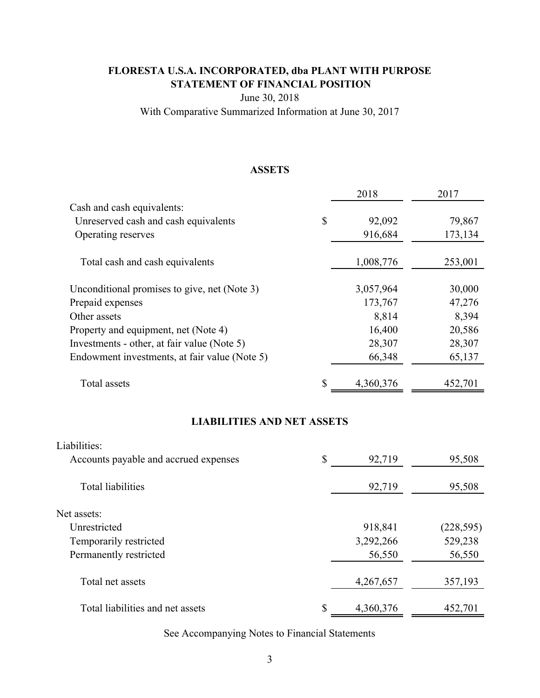# **FLORESTA U.S.A. INCORPORATED, dba PLANT WITH PURPOSE STATEMENT OF FINANCIAL POSITION**

June 30, 2018

With Comparative Summarized Information at June 30, 2017

## **ASSETS**

|                                               | 2018            | 2017    |
|-----------------------------------------------|-----------------|---------|
| Cash and cash equivalents:                    |                 |         |
| Unreserved cash and cash equivalents          | \$<br>92,092    | 79,867  |
| Operating reserves                            | 916,684         | 173,134 |
| Total cash and cash equivalents               | 1,008,776       | 253,001 |
| Unconditional promises to give, net (Note 3)  | 3,057,964       | 30,000  |
| Prepaid expenses                              | 173,767         | 47,276  |
| Other assets                                  | 8,814           | 8,394   |
| Property and equipment, net (Note 4)          | 16,400          | 20,586  |
| Investments - other, at fair value (Note 5)   | 28,307          | 28,307  |
| Endowment investments, at fair value (Note 5) | 66,348          | 65,137  |
| Total assets                                  | \$<br>4,360,376 | 452,701 |

## **LIABILITIES AND NET ASSETS**

| Liabilities:                          |                 |            |
|---------------------------------------|-----------------|------------|
| Accounts payable and accrued expenses | \$<br>92,719    | 95,508     |
| <b>Total liabilities</b>              | 92,719          | 95,508     |
| Net assets:                           |                 |            |
| Unrestricted                          | 918,841         | (228, 595) |
| Temporarily restricted                | 3,292,266       | 529,238    |
| Permanently restricted                | 56,550          | 56,550     |
| Total net assets                      | 4,267,657       | 357,193    |
| Total liabilities and net assets      | \$<br>4,360,376 | 452,701    |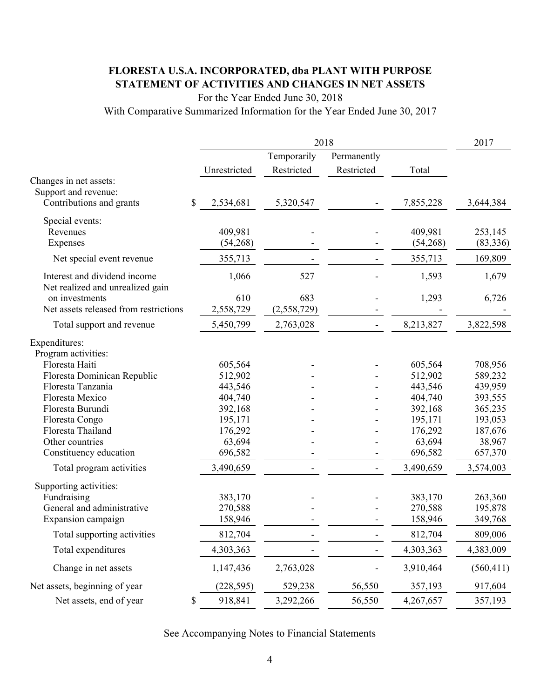# **FLORESTA U.S.A. INCORPORATED, dba PLANT WITH PURPOSE STATEMENT OF ACTIVITIES AND CHANGES IN NET ASSETS**

For the Year Ended June 30, 2018

With Comparative Summarized Information for the Year Ended June 30, 2017

|                                                                  |                 | 2018        |                          |           |            |  |  |
|------------------------------------------------------------------|-----------------|-------------|--------------------------|-----------|------------|--|--|
|                                                                  |                 | Temporarily | Permanently              |           |            |  |  |
|                                                                  | Unrestricted    | Restricted  | Restricted               | Total     |            |  |  |
| Changes in net assets:                                           |                 |             |                          |           |            |  |  |
| Support and revenue:                                             |                 |             |                          |           |            |  |  |
| Contributions and grants                                         | \$<br>2,534,681 | 5,320,547   |                          | 7,855,228 | 3,644,384  |  |  |
| Special events:                                                  |                 |             |                          |           |            |  |  |
| Revenues                                                         | 409,981         |             |                          | 409,981   | 253,145    |  |  |
| Expenses                                                         | (54,268)        |             |                          | (54,268)  | (83, 336)  |  |  |
| Net special event revenue                                        | 355,713         |             |                          | 355,713   | 169,809    |  |  |
| Interest and dividend income<br>Net realized and unrealized gain | 1,066           | 527         |                          | 1,593     | 1,679      |  |  |
| on investments                                                   | 610             | 683         |                          | 1,293     | 6,726      |  |  |
| Net assets released from restrictions                            | 2,558,729       | (2,558,729) |                          |           |            |  |  |
| Total support and revenue                                        | 5,450,799       | 2,763,028   |                          | 8,213,827 | 3,822,598  |  |  |
| Expenditures:                                                    |                 |             |                          |           |            |  |  |
| Program activities:                                              |                 |             |                          |           |            |  |  |
| Floresta Haiti                                                   | 605,564         |             |                          | 605,564   | 708,956    |  |  |
| Floresta Dominican Republic                                      | 512,902         |             |                          | 512,902   | 589,232    |  |  |
| Floresta Tanzania                                                | 443,546         |             |                          | 443,546   | 439,959    |  |  |
| Floresta Mexico                                                  | 404,740         |             |                          | 404,740   | 393,555    |  |  |
| Floresta Burundi                                                 | 392,168         |             |                          | 392,168   | 365,235    |  |  |
| Floresta Congo                                                   | 195,171         |             |                          | 195,171   | 193,053    |  |  |
| Floresta Thailand                                                | 176,292         |             |                          | 176,292   | 187,676    |  |  |
| Other countries                                                  | 63,694          |             |                          | 63,694    | 38,967     |  |  |
| Constituency education                                           | 696,582         |             |                          | 696,582   | 657,370    |  |  |
| Total program activities                                         | 3,490,659       |             | $\overline{\phantom{a}}$ | 3,490,659 | 3,574,003  |  |  |
| Supporting activities:                                           |                 |             |                          |           |            |  |  |
| Fundraising                                                      | 383,170         |             |                          | 383,170   | 263,360    |  |  |
| General and administrative                                       | 270,588         |             |                          | 270,588   | 195,878    |  |  |
| Expansion campaign                                               | 158,946         |             |                          | 158,946   | 349,768    |  |  |
| Total supporting activities                                      | 812,704         |             |                          | 812,704   | 809,006    |  |  |
| Total expenditures                                               | 4,303,363       |             |                          | 4,303,363 | 4,383,009  |  |  |
| Change in net assets                                             | 1,147,436       | 2,763,028   |                          | 3,910,464 | (560, 411) |  |  |
| Net assets, beginning of year                                    | (228, 595)      | 529,238     | 56,550                   | 357,193   | 917,604    |  |  |
| Net assets, end of year                                          | 918,841<br>\$   | 3,292,266   | 56,550                   | 4,267,657 | 357,193    |  |  |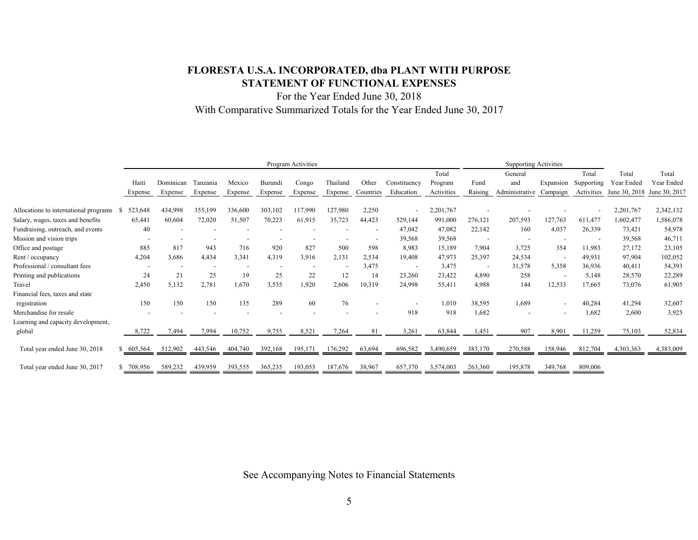## **FLORESTA U.S.A. INCORPORATED, dba PLANT WITH PURPOSE STATEMENT OF FUNCTIONAL EXPENSES**

For the Year Ended June 30, 2018 With Comparative Summarized Totals for the Year Ended June 30, 2017

|                                       | Program Activities |            |                                 |         |         |         | <b>Supporting Activities</b> |                          |                          |            |                          |                |                          |            |               |               |
|---------------------------------------|--------------------|------------|---------------------------------|---------|---------|---------|------------------------------|--------------------------|--------------------------|------------|--------------------------|----------------|--------------------------|------------|---------------|---------------|
|                                       |                    |            |                                 |         |         |         |                              |                          |                          | Total      |                          | General        |                          | Total      | Total         | Total         |
|                                       | Haiti              | Dominican  | Tanzania                        | Mexico  | Burundi | Congo   | Thailand                     | Other                    | Constituency             | Program    | Fund                     | and            | Expansion                | Supporting | Year Ended    | Year Ended    |
|                                       | Expense            | Expense    | Expense                         | Expense | Expense | Expense | Expense                      | Countries                | Education                | Activities | Raising                  | Administrative | Campaign                 | Activities | June 30, 2018 | June 30, 2017 |
|                                       | 523,648            | 434,998    | 355,199                         | 336,600 | 303,102 | 117,990 | 127,980                      | 2,250                    |                          | 2,201,767  |                          |                |                          |            | 2,201,767     | 2,342,132     |
| Allocations to international programs |                    |            |                                 |         |         |         |                              |                          | $\overline{\phantom{a}}$ |            |                          |                |                          |            |               |               |
| Salary, wages, taxes and benefits     | 65,441             | 60,604     | 72,020                          | 51,507  | 70,223  | 61,915  | 35,723                       | 44,423                   | 529,144                  | 991,000    | 276,121                  | 207,593        | 127,763                  | 611,477    | 1,602,477     | 1,586,078     |
| Fundraising, outreach, and events     |                    | 40         |                                 |         |         |         |                              | $\overline{\phantom{a}}$ | 47,042                   | 47,082     | 22,142                   | 160            | 4,037                    | 26,339     | 73,421        | 54,978        |
| Mission and vision trips              |                    |            |                                 |         |         |         |                              |                          | 39,568                   | 39,568     |                          |                |                          |            | 39,568        | 46,711        |
| Office and postage                    |                    | 885<br>817 | 943                             | 716     | 920     | 827     | 500                          | 598                      | 8,983                    | 15,189     | 7,904                    | 3,725          | 354                      | 11,983     | 27,172        | 23,105        |
| Rent / occupancy                      | 4,204              | 3,686      | 4,434                           | 3,341   | 4,319   | 3,916   | 2,131                        | 2,534                    | 19,408                   | 47,973     | 25,397                   | 24,534         | $\overline{\phantom{a}}$ | 49,931     | 97,904        | 102,052       |
| Professional / consultant fees        |                    |            | . .<br>$\overline{\phantom{a}}$ |         |         |         |                              | 3,475                    |                          | 3,475      | $\overline{\phantom{a}}$ | 31,578         | 5,358                    | 36,936     | 40,411        | 54,393        |
| Printing and publications             |                    | 21<br>24   | 25                              | 19      | 25      | 22      | 12                           | 14                       | 23,260                   | 23,422     | 4,890                    | 258            | $\overline{\phantom{a}}$ | 5,148      | 28,570        | 22,289        |
| Travel                                | 2,450              | 5,132      | 2,781                           | 1,670   | 3,535   | 1,920   | 2,606                        | 10,319                   | 24,998                   | 55,411     | 4,988                    | 144            | 12,533                   | 17,665     | 73,076        | 61,905        |
| Financial fees, taxes and state       |                    |            |                                 |         |         |         |                              |                          |                          |            |                          |                |                          |            |               |               |
| registration                          |                    | 150<br>150 | 150                             | 135     | 289     | 60      | 76                           |                          |                          | 1,010      | 38,595                   | 1,689          | $\overline{\phantom{a}}$ | 40,284     | 41,294        | 32,607        |
| Merchandise for resale                |                    |            |                                 |         |         |         |                              |                          | 918                      | 918        | 1,682                    |                | $\overline{\phantom{a}}$ | 1,682      | 2,600         | 3,925         |
| Learning and capacity development,    |                    |            |                                 |         |         |         |                              |                          |                          |            |                          |                |                          |            |               |               |
| global                                | 8,722              | 7,494      | 7,994                           | 10,752  | 9,755   | 8,521   | 7,264                        | 81                       | 3,261                    | 63,844     | 1,451                    | 907            | 8,901                    | 11,259     | 75,103        | 52,834        |
| Total year ended June 30, 2018        | \$ 605,564         | 512,902    | 443.546                         | 404,740 | 392,168 | 195,171 | 176,292                      | 63,694                   | 696,582                  | 3.490.659  | 383,170                  | 270,588        | 158,946                  | 812,704    | 4,303,363     | 4,383,009     |
| Total year ended June 30, 2017        | 708,956            | 589,232    | 439,959                         | 393,555 | 365,235 | 193,053 | 187,676                      | 38,967                   | 657,370                  | 3,574,003  | 263,360                  | 195,878        | 349,768                  | 809,006    |               |               |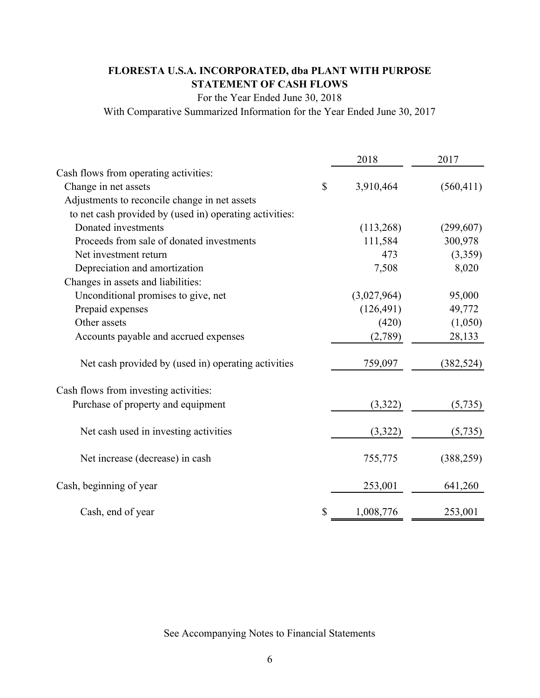# **FLORESTA U.S.A. INCORPORATED, dba PLANT WITH PURPOSE STATEMENT OF CASH FLOWS**

For the Year Ended June 30, 2018

With Comparative Summarized Information for the Year Ended June 30, 2017

|                                                         |              | 2018        | 2017       |
|---------------------------------------------------------|--------------|-------------|------------|
| Cash flows from operating activities:                   |              |             |            |
| Change in net assets                                    | $\mathbb{S}$ | 3,910,464   | (560, 411) |
| Adjustments to reconcile change in net assets           |              |             |            |
| to net cash provided by (used in) operating activities: |              |             |            |
| Donated investments                                     |              | (113,268)   | (299, 607) |
| Proceeds from sale of donated investments               |              | 111,584     | 300,978    |
| Net investment return                                   |              | 473         | (3,359)    |
| Depreciation and amortization                           |              | 7,508       | 8,020      |
| Changes in assets and liabilities:                      |              |             |            |
| Unconditional promises to give, net                     |              | (3,027,964) | 95,000     |
| Prepaid expenses                                        |              | (126, 491)  | 49,772     |
| Other assets                                            |              | (420)       | (1,050)    |
| Accounts payable and accrued expenses                   |              | (2,789)     | 28,133     |
| Net cash provided by (used in) operating activities     |              | 759,097     | (382, 524) |
| Cash flows from investing activities:                   |              |             |            |
| Purchase of property and equipment                      |              | (3,322)     | (5,735)    |
| Net cash used in investing activities                   |              | (3,322)     | (5,735)    |
| Net increase (decrease) in cash                         |              | 755,775     | (388, 259) |
| Cash, beginning of year                                 |              | 253,001     | 641,260    |
| Cash, end of year                                       | \$           | 1,008,776   | 253,001    |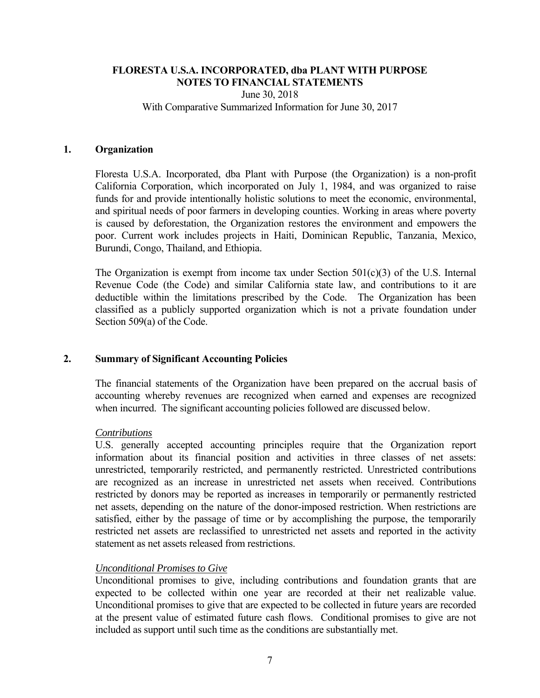June 30, 2018 With Comparative Summarized Information for June 30, 2017

#### **1. Organization**

Floresta U.S.A. Incorporated, dba Plant with Purpose (the Organization) is a non-profit California Corporation, which incorporated on July 1, 1984, and was organized to raise funds for and provide intentionally holistic solutions to meet the economic, environmental, and spiritual needs of poor farmers in developing counties. Working in areas where poverty is caused by deforestation, the Organization restores the environment and empowers the poor. Current work includes projects in Haiti, Dominican Republic, Tanzania, Mexico, Burundi, Congo, Thailand, and Ethiopia.

The Organization is exempt from income tax under Section  $501(c)(3)$  of the U.S. Internal Revenue Code (the Code) and similar California state law, and contributions to it are deductible within the limitations prescribed by the Code. The Organization has been classified as a publicly supported organization which is not a private foundation under Section 509(a) of the Code.

#### **2. Summary of Significant Accounting Policies**

The financial statements of the Organization have been prepared on the accrual basis of accounting whereby revenues are recognized when earned and expenses are recognized when incurred. The significant accounting policies followed are discussed below.

#### *Contributions*

 U.S. generally accepted accounting principles require that the Organization report information about its financial position and activities in three classes of net assets: unrestricted, temporarily restricted, and permanently restricted. Unrestricted contributions are recognized as an increase in unrestricted net assets when received. Contributions restricted by donors may be reported as increases in temporarily or permanently restricted net assets, depending on the nature of the donor-imposed restriction. When restrictions are satisfied, either by the passage of time or by accomplishing the purpose, the temporarily restricted net assets are reclassified to unrestricted net assets and reported in the activity statement as net assets released from restrictions.

## *Unconditional Promises to Give*

 Unconditional promises to give, including contributions and foundation grants that are expected to be collected within one year are recorded at their net realizable value. Unconditional promises to give that are expected to be collected in future years are recorded at the present value of estimated future cash flows. Conditional promises to give are not included as support until such time as the conditions are substantially met.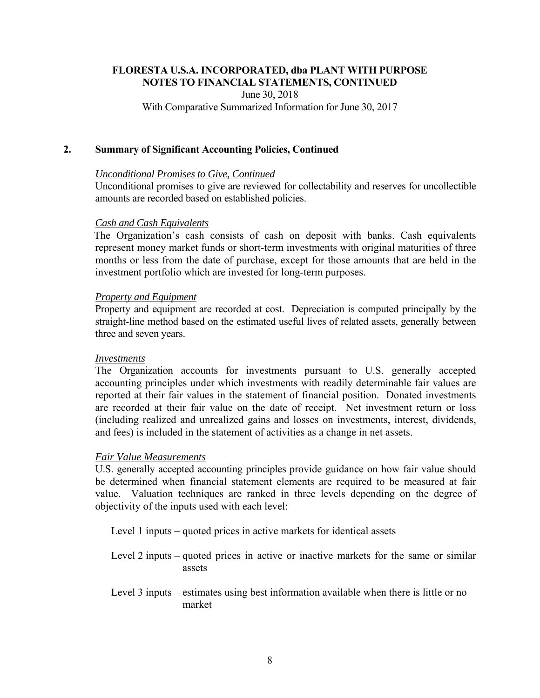June 30, 2018

With Comparative Summarized Information for June 30, 2017

## **2. Summary of Significant Accounting Policies, Continued**

## *Unconditional Promises to Give, Continued*

 Unconditional promises to give are reviewed for collectability and reserves for uncollectible amounts are recorded based on established policies.

## *Cash and Cash Equivalents*

The Organization's cash consists of cash on deposit with banks. Cash equivalents represent money market funds or short-term investments with original maturities of three months or less from the date of purchase, except for those amounts that are held in the investment portfolio which are invested for long-term purposes.

## *Property and Equipment*

Property and equipment are recorded at cost. Depreciation is computed principally by the straight-line method based on the estimated useful lives of related assets, generally between three and seven years.

## *Investments*

The Organization accounts for investments pursuant to U.S. generally accepted accounting principles under which investments with readily determinable fair values are reported at their fair values in the statement of financial position. Donated investments are recorded at their fair value on the date of receipt. Net investment return or loss (including realized and unrealized gains and losses on investments, interest, dividends, and fees) is included in the statement of activities as a change in net assets.

## *Fair Value Measurements*

U.S. generally accepted accounting principles provide guidance on how fair value should be determined when financial statement elements are required to be measured at fair value. Valuation techniques are ranked in three levels depending on the degree of objectivity of the inputs used with each level:

Level 1 inputs – quoted prices in active markets for identical assets

Level 2 inputs – quoted prices in active or inactive markets for the same or similar assets

Level 3 inputs – estimates using best information available when there is little or no market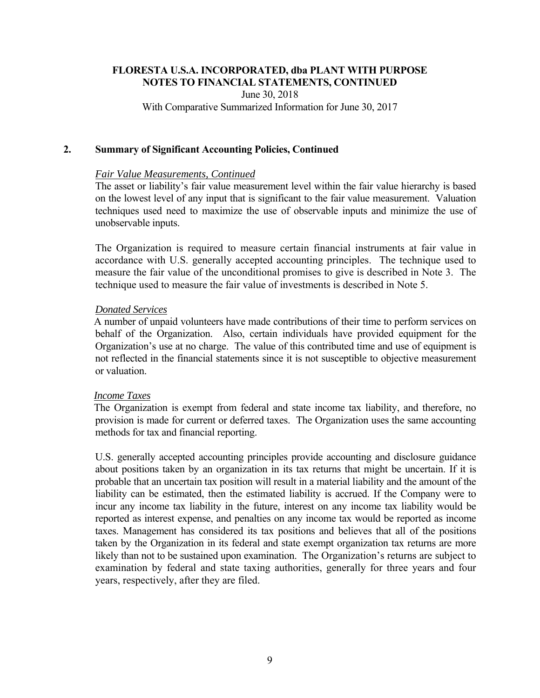June 30, 2018

With Comparative Summarized Information for June 30, 2017

## **2. Summary of Significant Accounting Policies, Continued**

## *Fair Value Measurements, Continued*

The asset or liability's fair value measurement level within the fair value hierarchy is based on the lowest level of any input that is significant to the fair value measurement. Valuation techniques used need to maximize the use of observable inputs and minimize the use of unobservable inputs.

The Organization is required to measure certain financial instruments at fair value in accordance with U.S. generally accepted accounting principles. The technique used to measure the fair value of the unconditional promises to give is described in Note 3. The technique used to measure the fair value of investments is described in Note 5.

## *Donated Services*

A number of unpaid volunteers have made contributions of their time to perform services on behalf of the Organization. Also, certain individuals have provided equipment for the Organization's use at no charge. The value of this contributed time and use of equipment is not reflected in the financial statements since it is not susceptible to objective measurement or valuation.

## *Income Taxes*

The Organization is exempt from federal and state income tax liability, and therefore, no provision is made for current or deferred taxes. The Organization uses the same accounting methods for tax and financial reporting.

U.S. generally accepted accounting principles provide accounting and disclosure guidance about positions taken by an organization in its tax returns that might be uncertain. If it is probable that an uncertain tax position will result in a material liability and the amount of the liability can be estimated, then the estimated liability is accrued. If the Company were to incur any income tax liability in the future, interest on any income tax liability would be reported as interest expense, and penalties on any income tax would be reported as income taxes. Management has considered its tax positions and believes that all of the positions taken by the Organization in its federal and state exempt organization tax returns are more likely than not to be sustained upon examination. The Organization's returns are subject to examination by federal and state taxing authorities, generally for three years and four years, respectively, after they are filed.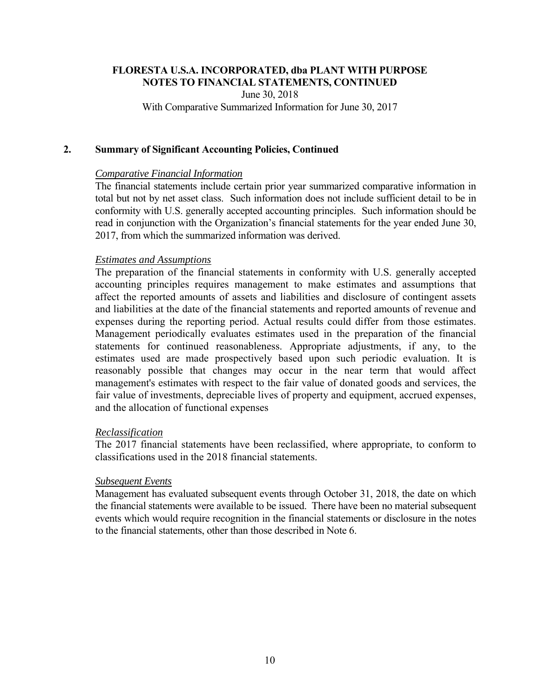June 30, 2018

With Comparative Summarized Information for June 30, 2017

#### **2. Summary of Significant Accounting Policies, Continued**

## *Comparative Financial Information*

The financial statements include certain prior year summarized comparative information in total but not by net asset class. Such information does not include sufficient detail to be in conformity with U.S. generally accepted accounting principles. Such information should be read in conjunction with the Organization's financial statements for the year ended June 30, 2017, from which the summarized information was derived.

## *Estimates and Assumptions*

The preparation of the financial statements in conformity with U.S. generally accepted accounting principles requires management to make estimates and assumptions that affect the reported amounts of assets and liabilities and disclosure of contingent assets and liabilities at the date of the financial statements and reported amounts of revenue and expenses during the reporting period. Actual results could differ from those estimates. Management periodically evaluates estimates used in the preparation of the financial statements for continued reasonableness. Appropriate adjustments, if any, to the estimates used are made prospectively based upon such periodic evaluation. It is reasonably possible that changes may occur in the near term that would affect management's estimates with respect to the fair value of donated goods and services, the fair value of investments, depreciable lives of property and equipment, accrued expenses, and the allocation of functional expenses

#### *Reclassification*

The 2017 financial statements have been reclassified, where appropriate, to conform to classifications used in the 2018 financial statements.

#### *Subsequent Events*

Management has evaluated subsequent events through October 31, 2018, the date on which the financial statements were available to be issued. There have been no material subsequent events which would require recognition in the financial statements or disclosure in the notes to the financial statements, other than those described in Note 6.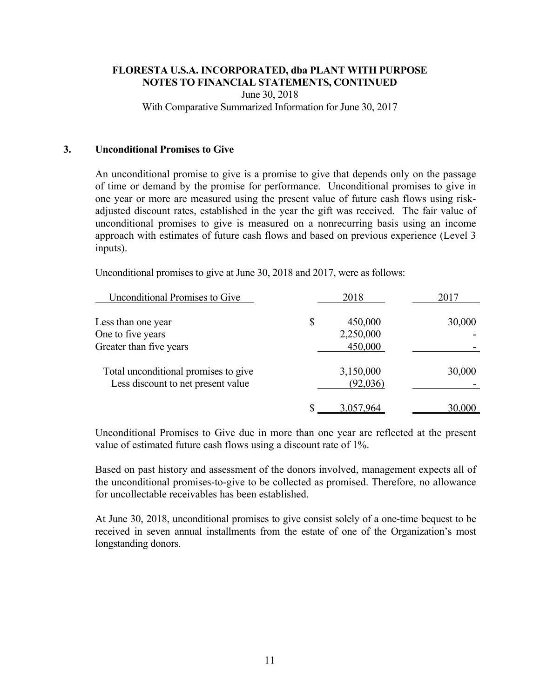June 30, 2018

With Comparative Summarized Information for June 30, 2017

## **3. Unconditional Promises to Give**

An unconditional promise to give is a promise to give that depends only on the passage of time or demand by the promise for performance. Unconditional promises to give in one year or more are measured using the present value of future cash flows using riskadjusted discount rates, established in the year the gift was received. The fair value of unconditional promises to give is measured on a nonrecurring basis using an income approach with estimates of future cash flows and based on previous experience (Level 3 inputs).

Unconditional promises to give at June 30, 2018 and 2017, were as follows:

| <b>Unconditional Promises to Give</b> | 2018          | 2017   |
|---------------------------------------|---------------|--------|
| Less than one year                    | \$<br>450,000 | 30,000 |
| One to five years                     | 2,250,000     |        |
| Greater than five years               | 450,000       |        |
| Total unconditional promises to give  | 3,150,000     | 30,000 |
| Less discount to net present value    | (92,036)      |        |
|                                       | 3,057,964     | 30,000 |

Unconditional Promises to Give due in more than one year are reflected at the present value of estimated future cash flows using a discount rate of 1%.

Based on past history and assessment of the donors involved, management expects all of the unconditional promises-to-give to be collected as promised. Therefore, no allowance for uncollectable receivables has been established.

At June 30, 2018, unconditional promises to give consist solely of a one-time bequest to be received in seven annual installments from the estate of one of the Organization's most longstanding donors.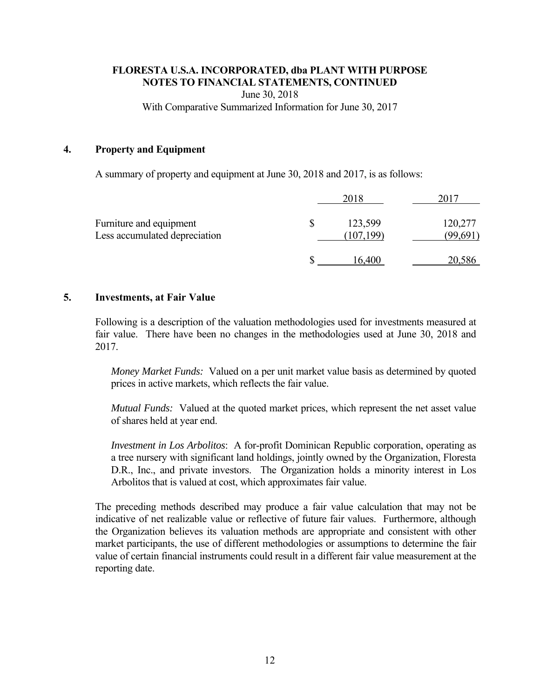June 30, 2018

With Comparative Summarized Information for June 30, 2017

### **4. Property and Equipment**

A summary of property and equipment at June 30, 2018 and 2017, is as follows:

|                                                          | 2018                        |                   |
|----------------------------------------------------------|-----------------------------|-------------------|
| Furniture and equipment<br>Less accumulated depreciation | \$<br>123,599<br>(107, 199) | 120,277<br>99,691 |
|                                                          | 16.400                      |                   |

## **5. Investments, at Fair Value**

Following is a description of the valuation methodologies used for investments measured at fair value. There have been no changes in the methodologies used at June 30, 2018 and 2017.

*Money Market Funds:* Valued on a per unit market value basis as determined by quoted prices in active markets, which reflects the fair value.

*Mutual Funds:* Valued at the quoted market prices, which represent the net asset value of shares held at year end.

*Investment in Los Arbolitos*: A for-profit Dominican Republic corporation, operating as a tree nursery with significant land holdings, jointly owned by the Organization, Floresta D.R., Inc., and private investors. The Organization holds a minority interest in Los Arbolitos that is valued at cost, which approximates fair value.

The preceding methods described may produce a fair value calculation that may not be indicative of net realizable value or reflective of future fair values. Furthermore, although the Organization believes its valuation methods are appropriate and consistent with other market participants, the use of different methodologies or assumptions to determine the fair value of certain financial instruments could result in a different fair value measurement at the reporting date.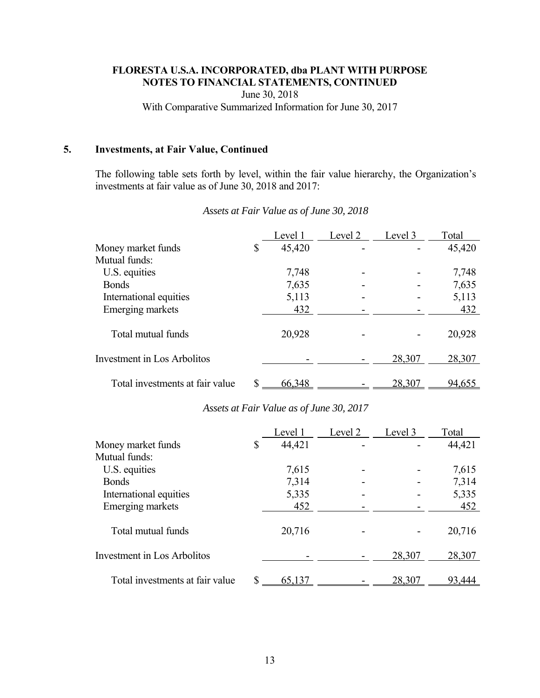June 30, 2018

With Comparative Summarized Information for June 30, 2017

## **5. Investments, at Fair Value, Continued**

The following table sets forth by level, within the fair value hierarchy, the Organization's investments at fair value as of June 30, 2018 and 2017:

|                                 |    | Level 1 | Level 2 | Level 3 | Total  |
|---------------------------------|----|---------|---------|---------|--------|
| Money market funds              | \$ | 45,420  |         |         | 45,420 |
| Mutual funds:                   |    |         |         |         |        |
| U.S. equities                   |    | 7,748   |         |         | 7,748  |
| <b>Bonds</b>                    |    | 7,635   |         |         | 7,635  |
| International equities          |    | 5,113   |         |         | 5,113  |
| Emerging markets                |    | 432     |         |         | 432    |
| Total mutual funds              |    | 20,928  |         |         | 20,928 |
| Investment in Los Arbolitos     |    |         |         | 28,307  | 28,307 |
| Total investments at fair value | S  | 66,348  |         | 28,307  | 94,655 |

## *Assets at Fair Value as of June 30, 2018*

## *Assets at Fair Value as of June 30, 2017*

|                                 | Level 1      | Level 2 | Level 3 | Total  |
|---------------------------------|--------------|---------|---------|--------|
| Money market funds              | \$<br>44,421 |         |         | 44,421 |
| Mutual funds:                   |              |         |         |        |
| U.S. equities                   | 7,615        |         |         | 7,615  |
| <b>Bonds</b>                    | 7,314        |         |         | 7,314  |
| International equities          | 5,335        |         |         | 5,335  |
| <b>Emerging markets</b>         | 452          |         |         | 452    |
| Total mutual funds              | 20,716       |         |         | 20,716 |
| Investment in Los Arbolitos     |              |         | 28,307  | 28,307 |
| Total investments at fair value | 65,137       |         | 28,307  | 93,444 |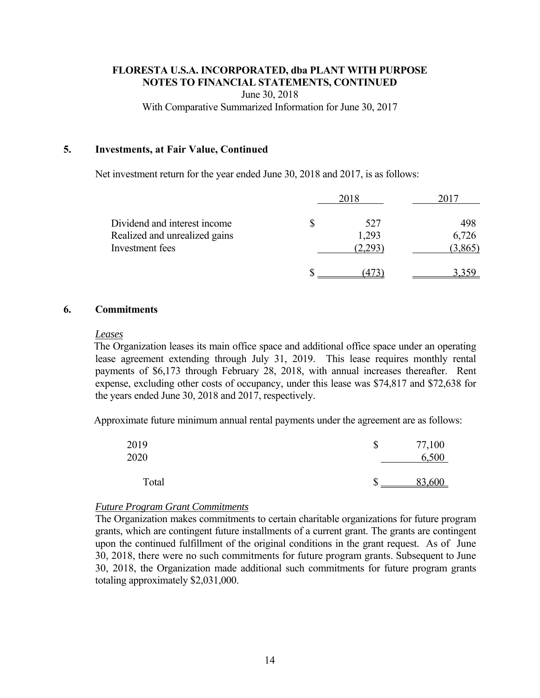June 30, 2018

With Comparative Summarized Information for June 30, 2017

#### **5. Investments, at Fair Value, Continued**

Net investment return for the year ended June 30, 2018 and 2017, is as follows:

|                                                                                  | 2018                        |                         |
|----------------------------------------------------------------------------------|-----------------------------|-------------------------|
| Dividend and interest income<br>Realized and unrealized gains<br>Investment fees | \$<br>527<br>1,293<br>2,293 | 498<br>6,726<br>(3,865) |
|                                                                                  |                             |                         |

#### **6. Commitments**

#### *Leases*

The Organization leases its main office space and additional office space under an operating lease agreement extending through July 31, 2019. This lease requires monthly rental payments of \$6,173 through February 28, 2018, with annual increases thereafter. Rent expense, excluding other costs of occupancy, under this lease was \$74,817 and \$72,638 for the years ended June 30, 2018 and 2017, respectively.

Approximate future minimum annual rental payments under the agreement are as follows:

| 2019<br>2020 | \$<br>77,100<br>6,500 |
|--------------|-----------------------|
| Total        | 83,600                |

#### *Future Program Grant Commitments*

The Organization makes commitments to certain charitable organizations for future program grants, which are contingent future installments of a current grant. The grants are contingent upon the continued fulfillment of the original conditions in the grant request. As of June 30, 2018, there were no such commitments for future program grants. Subsequent to June 30, 2018, the Organization made additional such commitments for future program grants totaling approximately \$2,031,000.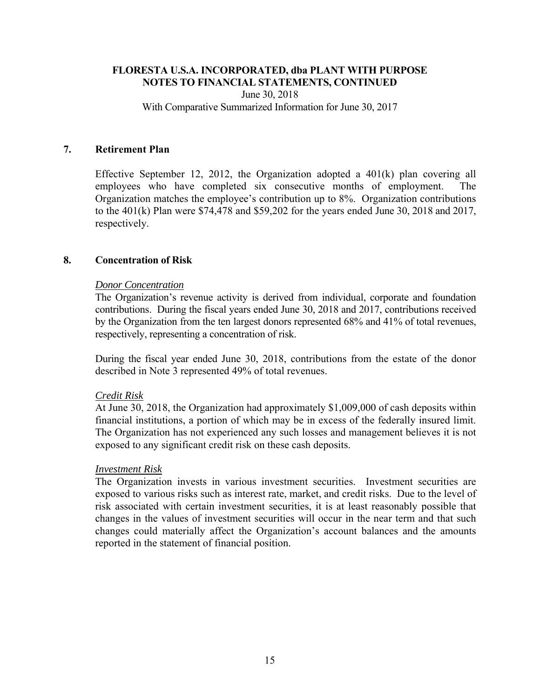June 30, 2018 With Comparative Summarized Information for June 30, 2017

## **7. Retirement Plan**

Effective September 12, 2012, the Organization adopted a 401(k) plan covering all employees who have completed six consecutive months of employment. The Organization matches the employee's contribution up to 8%. Organization contributions to the 401(k) Plan were \$74,478 and \$59,202 for the years ended June 30, 2018 and 2017, respectively.

## **8. Concentration of Risk**

## *Donor Concentration*

The Organization's revenue activity is derived from individual, corporate and foundation contributions. During the fiscal years ended June 30, 2018 and 2017, contributions received by the Organization from the ten largest donors represented 68% and 41% of total revenues, respectively, representing a concentration of risk.

During the fiscal year ended June 30, 2018, contributions from the estate of the donor described in Note 3 represented 49% of total revenues.

## *Credit Risk*

 At June 30, 2018, the Organization had approximately \$1,009,000 of cash deposits within financial institutions, a portion of which may be in excess of the federally insured limit. The Organization has not experienced any such losses and management believes it is not exposed to any significant credit risk on these cash deposits.

#### *Investment Risk*

The Organization invests in various investment securities. Investment securities are exposed to various risks such as interest rate, market, and credit risks. Due to the level of risk associated with certain investment securities, it is at least reasonably possible that changes in the values of investment securities will occur in the near term and that such changes could materially affect the Organization's account balances and the amounts reported in the statement of financial position.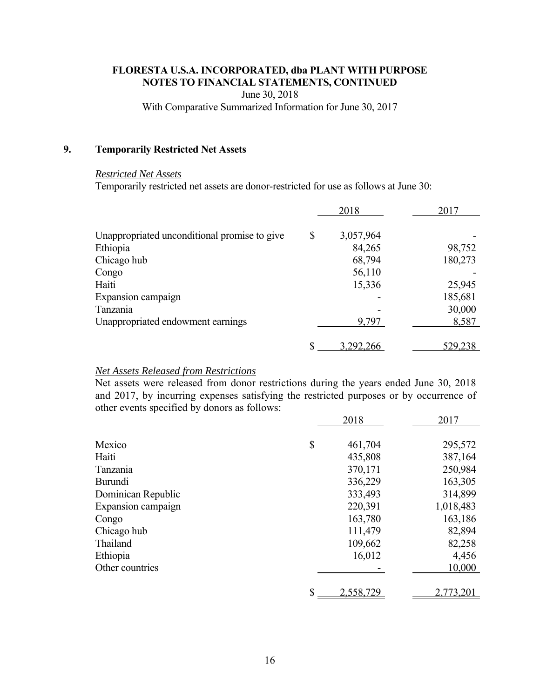June 30, 2018

With Comparative Summarized Information for June 30, 2017

## **9. Temporarily Restricted Net Assets**

## *Restricted Net Assets*

Temporarily restricted net assets are donor-restricted for use as follows at June 30:

| 2018   | 2017                                 |
|--------|--------------------------------------|
|        |                                      |
|        | 98,752                               |
| 68,794 | 180,273                              |
| 56,110 |                                      |
| 15,336 | 25,945                               |
|        | 185,681                              |
|        | 30,000                               |
| 9,797  | 8,587                                |
|        | <u>529,238</u>                       |
| \$     | 3,057,964<br>84,265<br>\$<br>292.266 |

### *Net Assets Released from Restrictions*

Net assets were released from donor restrictions during the years ended June 30, 2018 and 2017, by incurring expenses satisfying the restricted purposes or by occurrence of other events specified by donors as follows:

|                    | 2018            | 2017      |
|--------------------|-----------------|-----------|
| Mexico             | \$<br>461,704   | 295,572   |
| Haiti              | 435,808         | 387,164   |
| Tanzania           | 370,171         | 250,984   |
| <b>Burundi</b>     | 336,229         | 163,305   |
| Dominican Republic | 333,493         | 314,899   |
| Expansion campaign | 220,391         | 1,018,483 |
| Congo              | 163,780         | 163,186   |
| Chicago hub        | 111,479         | 82,894    |
| Thailand           | 109,662         | 82,258    |
| Ethiopia           | 16,012          | 4,456     |
| Other countries    |                 | 10,000    |
|                    |                 |           |
|                    | \$<br>2,558,729 | 2,773,201 |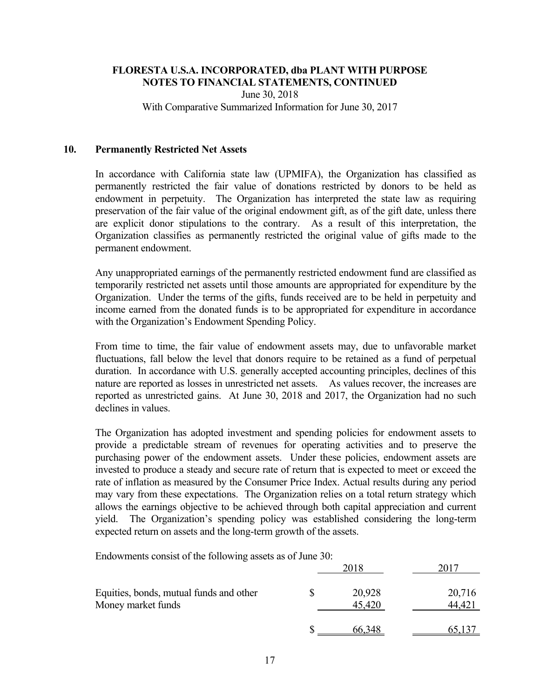June 30, 2018 With Comparative Summarized Information for June 30, 2017

### **10. Permanently Restricted Net Assets**

In accordance with California state law (UPMIFA), the Organization has classified as permanently restricted the fair value of donations restricted by donors to be held as endowment in perpetuity. The Organization has interpreted the state law as requiring preservation of the fair value of the original endowment gift, as of the gift date, unless there are explicit donor stipulations to the contrary. As a result of this interpretation, the Organization classifies as permanently restricted the original value of gifts made to the permanent endowment.

Any unappropriated earnings of the permanently restricted endowment fund are classified as temporarily restricted net assets until those amounts are appropriated for expenditure by the Organization. Under the terms of the gifts, funds received are to be held in perpetuity and income earned from the donated funds is to be appropriated for expenditure in accordance with the Organization's Endowment Spending Policy.

From time to time, the fair value of endowment assets may, due to unfavorable market fluctuations, fall below the level that donors require to be retained as a fund of perpetual duration. In accordance with U.S. generally accepted accounting principles, declines of this nature are reported as losses in unrestricted net assets. As values recover, the increases are reported as unrestricted gains. At June 30, 2018 and 2017, the Organization had no such declines in values.

The Organization has adopted investment and spending policies for endowment assets to provide a predictable stream of revenues for operating activities and to preserve the purchasing power of the endowment assets. Under these policies, endowment assets are invested to produce a steady and secure rate of return that is expected to meet or exceed the rate of inflation as measured by the Consumer Price Index. Actual results during any period may vary from these expectations. The Organization relies on a total return strategy which allows the earnings objective to be achieved through both capital appreciation and current yield. The Organization's spending policy was established considering the long-term expected return on assets and the long-term growth of the assets.

Endowments consist of the following assets as of June 30:

| Equities, bonds, mutual funds and other<br>Money market funds |  | 20,928<br>45,420 | 20,716<br>44,42 |  |
|---------------------------------------------------------------|--|------------------|-----------------|--|
|                                                               |  | OO               |                 |  |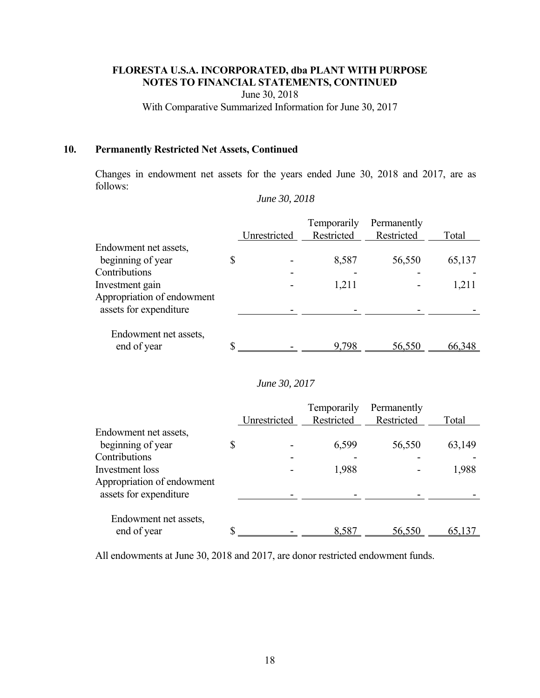June 30, 2018

With Comparative Summarized Information for June 30, 2017

## **10. Permanently Restricted Net Assets, Continued**

Changes in endowment net assets for the years ended June 30, 2018 and 2017, are as follows:

|                                      | Unrestricted | Temporarily<br>Restricted | Permanently<br>Restricted | Total  |
|--------------------------------------|--------------|---------------------------|---------------------------|--------|
| Endowment net assets,                |              |                           |                           |        |
| beginning of year                    | \$           | 8,587                     | 56,550                    | 65,137 |
| Contributions                        |              |                           |                           |        |
| Investment gain                      |              | 1,211                     |                           | 1,211  |
| Appropriation of endowment           |              |                           |                           |        |
| assets for expenditure               |              |                           |                           |        |
| Endowment net assets,<br>end of year | \$           | 9,798                     | 56,550                    | 66,348 |

*June 30, 2018* 

#### *June 30, 2017*

|                                                      |              | Temporarily | Permanently |        |
|------------------------------------------------------|--------------|-------------|-------------|--------|
|                                                      | Unrestricted | Restricted  | Restricted  | Total  |
| Endowment net assets,                                |              |             |             |        |
| beginning of year                                    |              | 6,599       | 56,550      | 63,149 |
| Contributions                                        |              |             |             |        |
| Investment loss                                      |              | 1,988       |             | 1,988  |
| Appropriation of endowment<br>assets for expenditure |              |             |             |        |
| Endowment net assets,<br>end of year                 |              | 8.587       | 56,550      | 65,137 |

All endowments at June 30, 2018 and 2017, are donor restricted endowment funds.